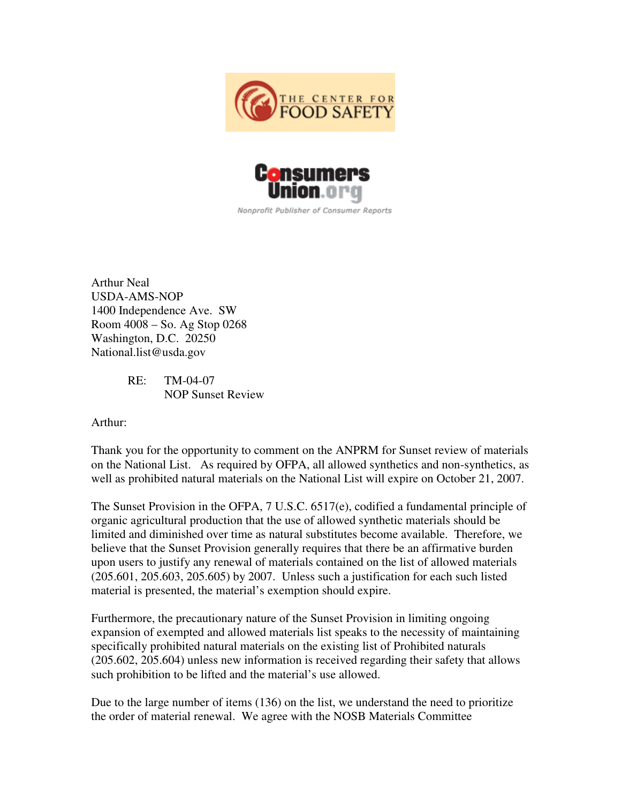



Nonprofit Publisher of Consumer Reports

Arthur Neal USDA-AMS-NOP 1400 Independence Ave. SW Room 4008 – So. Ag Stop 0268 Washington, D.C. 20250 National.list@usda.gov

> RE: TM-04-07 NOP Sunset Review

Arthur:

Thank you for the opportunity to comment on the ANPRM for Sunset review of materials on the National List. As required by OFPA, all allowed synthetics and non-synthetics, as well as prohibited natural materials on the National List will expire on October 21, 2007.

The Sunset Provision in the OFPA, 7 U.S.C. 6517(e), codified a fundamental principle of organic agricultural production that the use of allowed synthetic materials should be limited and diminished over time as natural substitutes become available. Therefore, we believe that the Sunset Provision generally requires that there be an affirmative burden upon users to justify any renewal of materials contained on the list of allowed materials (205.601, 205.603, 205.605) by 2007. Unless such a justification for each such listed material is presented, the material's exemption should expire.

Furthermore, the precautionary nature of the Sunset Provision in limiting ongoing expansion of exempted and allowed materials list speaks to the necessity of maintaining specifically prohibited natural materials on the existing list of Prohibited naturals (205.602, 205.604) unless new information is received regarding their safety that allows such prohibition to be lifted and the material's use allowed.

Due to the large number of items (136) on the list, we understand the need to prioritize the order of material renewal. We agree with the NOSB Materials Committee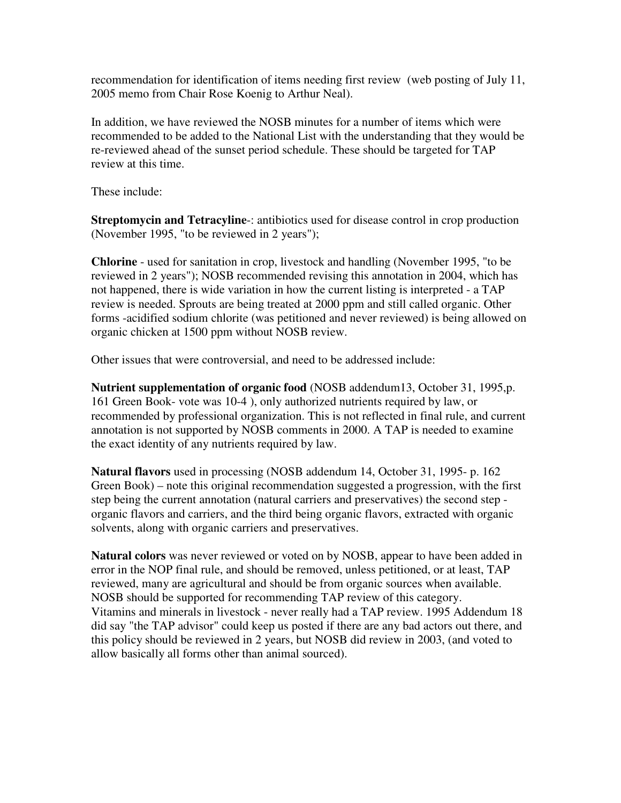recommendation for identification of items needing first review (web posting of July 11, 2005 memo from Chair Rose Koenig to Arthur Neal).

In addition, we have reviewed the NOSB minutes for a number of items which were recommended to be added to the National List with the understanding that they would be re-reviewed ahead of the sunset period schedule. These should be targeted for TAP review at this time.

These include:

**Streptomycin and Tetracyline**-: antibiotics used for disease control in crop production (November 1995, "to be reviewed in 2 years");

**Chlorine** - used for sanitation in crop, livestock and handling (November 1995, "to be reviewed in 2 years"); NOSB recommended revising this annotation in 2004, which has not happened, there is wide variation in how the current listing is interpreted - a TAP review is needed. Sprouts are being treated at 2000 ppm and still called organic. Other forms -acidified sodium chlorite (was petitioned and never reviewed) is being allowed on organic chicken at 1500 ppm without NOSB review.

Other issues that were controversial, and need to be addressed include:

**Nutrient supplementation of organic food** (NOSB addendum13, October 31, 1995,p. 161 Green Book- vote was 10-4 ), only authorized nutrients required by law, or recommended by professional organization. This is not reflected in final rule, and current annotation is not supported by NOSB comments in 2000. A TAP is needed to examine the exact identity of any nutrients required by law.

**Natural flavors** used in processing (NOSB addendum 14, October 31, 1995- p. 162 Green Book) – note this original recommendation suggested a progression, with the first step being the current annotation (natural carriers and preservatives) the second step organic flavors and carriers, and the third being organic flavors, extracted with organic solvents, along with organic carriers and preservatives.

**Natural colors** was never reviewed or voted on by NOSB, appear to have been added in error in the NOP final rule, and should be removed, unless petitioned, or at least, TAP reviewed, many are agricultural and should be from organic sources when available. NOSB should be supported for recommending TAP review of this category. Vitamins and minerals in livestock - never really had a TAP review. 1995 Addendum 18 did say "the TAP advisor" could keep us posted if there are any bad actors out there, and this policy should be reviewed in 2 years, but NOSB did review in 2003, (and voted to allow basically all forms other than animal sourced).